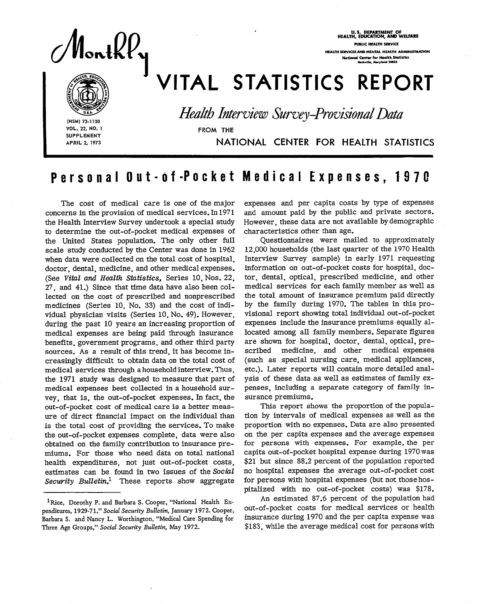FEALTH, EDUCATION, AND WELFAXE

 $M<sub>1</sub>$  100 @ :<br>}<br>}

U.S. DEPARTMENT OF<br>HEALTH, EDUCATION, AND WELFARE **PUBLIC HEALTH SERVICE** National Conter for Health Statisti<br>Reckville, Maryland 20632

# VITAL STATISTICS REPORT

%4 %V~= ,+-' @ **Ush** *HeaZtbItiemiew Survey-ProvisionaZData* 

**(HSM) 73-1130 vOL. 22, NO. 1 FROM THE SUPPLEMENT** 

**APRIL 2, 1973** NATIONAL CENTER FOR HEALTH STATISTICS

# Personal Out-of-Pocket Medical Expenses, 1970

concerns in the provision of medical services. In 1971 and amount paid by the public and private sectors. the Health Interview Survey undertook a special study However, these data are not avail<br>to determine the out-of-pocket medical expenses of characteristics other than age. to determine the out-of-pocket medical expenses of characteristics other than age.<br>the United States population. The only other full Questionnaires were mailed to approximately the United States population. The only other full Questionnaires were mailed to approximately scale study conducted by the Center was done in 1962 12,000 households (the last quarter of the 1970 Health scale study conducted by the Center was done in 1962 12,000 households (the last quarter of the 1970 Health<br>when data were collected on the total cost of hospital. Interview Survey sample) in early 1971 requesting when data were collected on the total cost of hospital, doctor, dental, medicine, and other medical expenses. information on out-of-pocket costs for hospital, doc-<br>(See Vital and Health Statistics, Series 10 Nos. 22, tor, dental, optical, prescribed medicine, and other (See *Vital and Health statistics,* Series 10, Nos. 22, tor, dental, optical, prescribed medicine, and other 27, and 41.) Since that time data have also been col- medical services for each family member as well as lected on the cost of prescribed and nonprescribed the total amount of insurance premium paid directly lected on the cost of prescribed and nonprescribed the total amount of insurance premium paid directly medicines (Series 10, No. 33) and the cost of indi- by the family during 1970. The tables in this pro-<br>vidual physician visits (Series 10 No. 49). However visional report showing total individual out-of-pocket vidual physician visits (Series 10, No. 49). However, visional report showing total individual out-of-pocket during the past 10 years an increasing proportion of expenses include the insurance premiums equally al medical expenses are being paid through insurance located among all family members. Separate figures benefits, government programs, and other third party are show<br>sources. As a result of this trend, it has become in- scribed sources. As a result of this trend, it has become in- scribed medicine, and other medical expenses creasingly difficult to obtain data on the total cost of medical services through a household interview. Thus, the 1971 study was designed to measure that part of ysis of these data as well as estimates of family exmedical expenses best collected in a household survey, that is, the out-of-pocket expenses. In fact, the surance premiums. out-of-pocket cost of medical care is a better meas- This report shows the proportion of the popula ure of direct financial impact on the individual than tion by intervals of medical expenses as well as the is the total cost of providing the services. To make proportion with no expenses. Data are also presented the out-of-pocket expenses complete, data were also on the per capita expenses and the average expenses<br>obtained on the family contribution to insurance pre- for persons with expenses. For example, the per obtained on the family contribution to insurance pre- for persons with expenses. For example, the per miums. For those who need data on total national health expenditures, not just out-of-pocket costs, estimates can be found in two issues of the Social no hospital expenses the average out-of-pocket cost Security *Bulletin*.<sup>1</sup> These reports show aggregate

The cost of medical care is one of the major expenses and per capita costs by type of expenses erns in the provision of medical services. In 1971 and amount paid by the public and private sectors.

medicine, and other medical expenses etc.). Later reports will contain more detailed analpenses, including a separate category of family in-

\$21 but since 88.2 percent of the population reported for persons with hospital expenses (but not those hos-

pitalized with no out-of-pocket costs) was \$178. <sup>1</sup>Rice, Dorothy P. and Barbara S. Cooper, "National Health Ex-<br>onlinear 1929.71." Social Sequeity Bullatin, Jounger 1972. Cooper out-of-pocket costs for medical services or health

penditures, 1929-71," Social Security Bulletin, January 1972. Cooper, out-of-pocket costs for medical services or heaIth<br>Barbara S. and Nancy L. Worthington, "Medical Care Spending for insurance during 1970 and the per cap Barbara S. and Nancy L. Worthington, "Medical Care Spending for insurance during 1970 and the per capita expense was<br>Three Age Groups," Social Security Bulletin, May 1972. [183], while the average medical cost for persons Three Age Groups," Social Security Bulletin, May 1972.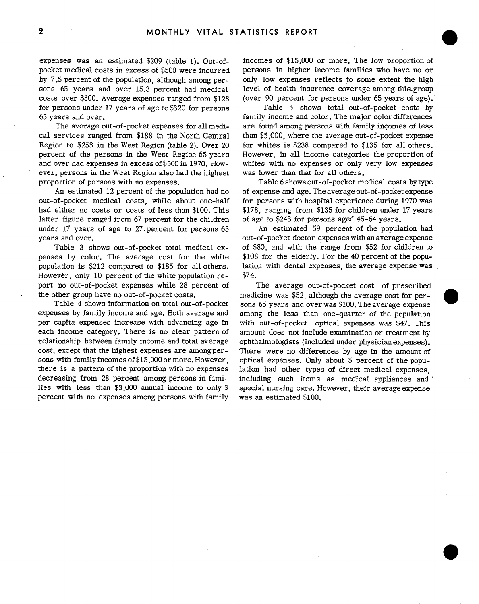pocket medical costs in excess of \$500 were incurred persons in higher income families who have no or by 7.5 percent of the population, although among per- only low expenses reflects to some extent the high sons 65 years and over 15.3 percent had medical level of health insurance coverage among this. group costs over \$500. Average expenses ranged from \$128 (over 90 percent for persons under 65 years of age). for persons under 17 years of age to \$320 for persons Table 5 shows total out-of-pocket costs by 65 years and over. family income and color. The major color differences

cal services ranged from \$188 in the North Central than \$5,000, where the average out-of-pocket expense Region to \$253 in the West Region (table 2). Over 20 for whites is \$238 compared to \$135 for all others. percent of the persons in the West Region 65 years However, in all income categories the proportion of and over had expenses in excess of \$500 in 1970. How- whites with no expenses or only very low expenses ever, persons in the West Region also had the highest was lower than that for all others. proportion of persons with no expenses. Table 6 shows out-of-pocket medical costs by type

out-of-pocket medical costs, while about one-half for persons with hospital experience during 1970 was had either no costs or costs of less than \$100. This \$178, ranging from \$135 for children under 17 years latter figure ranged from 67 percent for the children of age to  $$243$  for persons aged 45-64 years. under 17 years of age to 27 percent for persons 65 An estimated 59 percent of the population had years and over.  $\qquad \qquad \text{out-of-pocket doctor expenses with an average expense}$ 

penses by color. The average cost for the white \$108 for the elderly. For the 40 percent of the popupopulation is \$212 compared to \$185 for all others. lation with dental expenses, the average expense was However, only 10 percent of the white population re-  $$74.$ port no out-of-pocket expenses while 28 percent of The average out-of-pocket cost of prescribed

expenses by family income and age. Both average and among the less than one-quarter of the population per capita expenses increase with advancing age in with out-of-pocket optical expenses was \$47. This each income category. There is no clear pattern of amount does not include examination or treatment by relationship between family income and total average ophthalmologists (included under physician expenses). cost, except that the highest expenses are among per- There were no differences by age in the amount of sons with family incomes of \$15,000 or more, However, optical expenses. Only about 5 percent of the poputhere is a pattern of the proportion with no expenses lation had other types of direct medical expenses, decreasing from 28 percent among persons in fami- including such items as medical appliances and lies with less than \$3,000 annual income to only 3 special nursing care. However, their average expense percent with no expenses among persons with family was an estimated \$100;

expenses was an estimated \$209 (table 1). Out-of- incomes of \$15,000 or more. The low proportion of

The average out-of-pocket expenses for all medi- are found among persons with family incomes of less

An estimated 12 percent of the population had no of expense and age. The average out-of-pocket expense

Table 3 shows out-of-pocket total medical ex- of \$80, and with the range from \$52 for children to

the other group have no out-of-pocket costs. medicine was \$52, although the average cost for perno out-or-pocket expenses while 28 percent of the average out-or-pocket cost of prescribed<br>other group have no out-of-pocket costs.<br>Table 4 shows information on total out-of-pocket sons 65 years and overwas \$100. The avera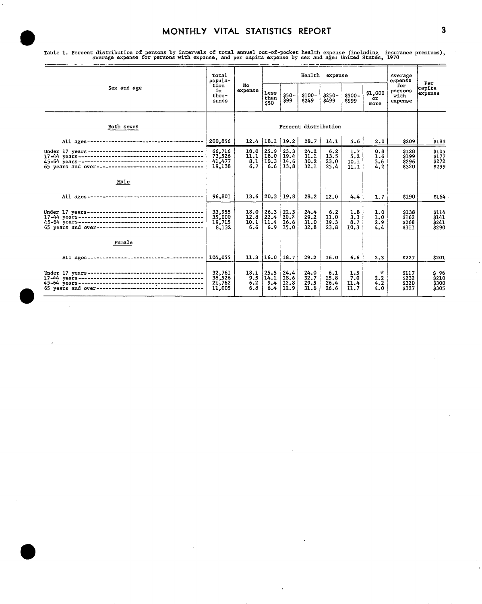|                                                      | Tota1<br>popula-                     |                             |                             |                              |                              | Health expense              |                            |                              | Average<br>expense                     | Per                              |
|------------------------------------------------------|--------------------------------------|-----------------------------|-----------------------------|------------------------------|------------------------------|-----------------------------|----------------------------|------------------------------|----------------------------------------|----------------------------------|
| Sex and age                                          | tion<br>in<br>thou-<br>sands         | No<br>expense               | Less<br>than<br>\$50        | $$50 -$<br>\$99              | $$100-$<br>\$249             | $$250-$<br>\$499            | $$500 -$<br>\$999          | \$1,000<br>or<br>more        | for<br>persons<br>with<br>expense      | capita<br>expense                |
| Both sexes                                           |                                      |                             |                             |                              | Percent distribution         |                             |                            |                              |                                        |                                  |
|                                                      |                                      |                             |                             | $12.4$   18.1   19.2         | 28.7                         | 14.1                        | 5.6                        | 2.0                          | \$209                                  | \$183                            |
|                                                      | 66,716<br>73,526<br>41,477<br>19,138 | 18.0<br>11.1<br>8.1<br>6.7  | 25.9<br>18.0<br>10.3<br>6.6 | 23.3<br>19.4<br>14.6<br>13.8 | 24.2<br>31.1<br>30.2<br>32.1 | 6.2<br>13.5<br>23.0<br>25.4 | 1.7<br>5.2<br>10.1<br>11.1 | 0.8<br>1.6<br>3.6<br>4.2     | \$128<br><b>S199</b><br>\$296<br>\$320 | \$105<br>\$177<br>\$272<br>\$299 |
| Male                                                 |                                      |                             |                             |                              |                              | $\sim$                      |                            |                              |                                        |                                  |
|                                                      | 96,801                               | 13.6                        | 20.3                        | 19.8                         | 28.2                         | 12.0                        | 4.4                        | 1.7                          | \$190                                  | \$164                            |
| 65 years and over----------------------------------- | 33,955<br>35,000<br>19,715<br>8,132  | 18.0<br>12.8<br>10.1<br>6.6 | 26.3<br>22.4<br>11.4<br>6.9 | 22.3<br>20.2<br>16.6<br>15.0 | 24.4<br>29.2<br>31.0<br>32.8 | 6.2<br>11.0<br>19.3<br>23.8 | 1.8<br>3.3<br>8.7<br>10.3  | 1.0<br>1.0<br>2.9<br>4.4     | \$138<br>\$162<br>\$268<br>\$311       | \$114<br>\$141<br>\$241<br>\$290 |
| Female                                               |                                      |                             |                             |                              |                              |                             |                            |                              |                                        |                                  |
|                                                      | 104,055                              | 11.3                        | 16.0                        | 18.7                         | 29.2                         | 16.0                        | 6.6                        | 2.3                          | \$227                                  | \$201                            |
|                                                      | 32,761<br>38,526<br>21,762<br>11,005 | 18.1<br>9.5<br>6.2<br>6.8   | 25.5<br>14.1<br>9.4<br>6.4  | 24.4<br>18.6<br>12.8<br>12.9 | 24.0<br>32.7<br>29.5<br>31.6 | 6.1<br>15.8<br>26.4<br>26.6 | 1.5<br>7.0<br>11.4<br>11.7 | $\star$<br>2.2<br>4.2<br>4.0 | \$117<br>\$232<br>\$320<br>\$327       | \$96<br>\$210<br>\$300<br>\$305  |

J.

Table 1. Percent distribution of persons by intervals of total annual out-of-pocket health expense (including insurance premiums),<br>average expense for persons with expense, and per capita expense by sex and age: United Sta **Service**  $\sim$   $\sim$   $\sim$   $\sim$   $\sim$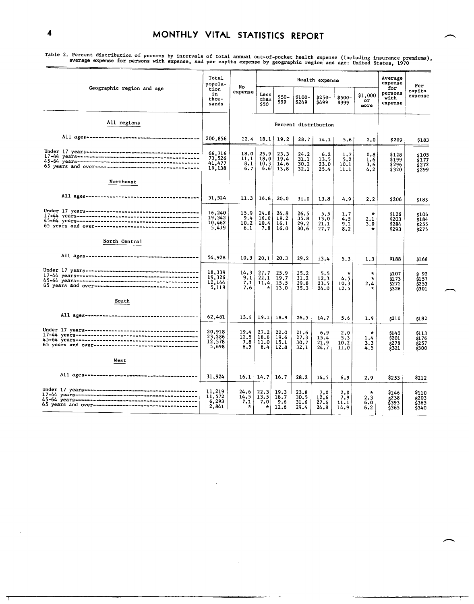able 2. It collect distribution of persons by intervals of total annual out-of-pocket health expense (including insurance premiums),<br>average expense for persons with expense, and per capita expense by geographic region and

| Geographic region and age                            | Total<br>popula-                     | No                             |                                |                              |                              | Health expense              |                            |                                  | Average<br>expense                         | Per                                   |
|------------------------------------------------------|--------------------------------------|--------------------------------|--------------------------------|------------------------------|------------------------------|-----------------------------|----------------------------|----------------------------------|--------------------------------------------|---------------------------------------|
|                                                      | tion<br>in<br>thou-<br>sands         | expense                        | Less<br>than<br>\$50           | \$50-<br>\$99                | \$100-<br>S <sub>249</sub>   | \$250-<br>\$499             | $$500-$<br>\$999           | \$1,000<br>or<br>more            | for<br>persons<br>with<br>expense          | capita<br>expense                     |
| All regions                                          |                                      |                                |                                |                              | Percent distribution         |                             |                            |                                  |                                            |                                       |
|                                                      | 200,856                              | 12.4                           | 18.1                           | 19.2                         | 28.7                         | 14.1                        | 5.6                        | 2.0                              | \$209                                      | \$183                                 |
|                                                      | 66,716<br>73,526<br>41,477<br>19,138 | 18.0<br>11.1<br>8.1<br>6.7     | 25.9<br>18.0<br>10.3<br>6,6    | 23.3<br>19.4<br>14.6<br>13.8 | 24.2<br>31.1<br>30.2<br>32.1 | 6.2<br>13.5<br>23.0<br>25.4 | 1.7<br>5.2<br>10.1<br>11.1 | 0.8<br>1.6<br>3,6<br>4.2         | \$128<br>\$199<br>\$296<br>\$320           | \$105<br>ś177<br>\$272<br>299 خ       |
| Northeast                                            |                                      |                                |                                |                              |                              |                             |                            |                                  |                                            |                                       |
|                                                      | 51,524                               | 11,3                           | 16, 8                          | 20.0                         | 31.0                         | 13.8                        | 4.9                        | 2.2                              | \$206                                      | \$183                                 |
|                                                      | 16,240<br>19,342<br>10,462<br>5,479  | 15.9<br>9.4<br>10.2<br>6.1     | 24.8<br>16.0<br>10.4<br>7.8    | 24.8<br>19.2<br>16.1<br>16.0 | 26.5<br>35.8<br>29.2<br>30.6 | 5.5<br>13.0<br>21.1<br>27.7 | 1.7<br>4.5<br>9.1<br>8.2   | $\star$<br>2,1<br>3.9<br>$\star$ | \$126<br>\$203<br>\$284<br>\$293           | \$106<br>\$184<br>\$255<br>\$275      |
| North Central                                        |                                      |                                |                                |                              |                              |                             |                            |                                  |                                            |                                       |
|                                                      | 54,928                               | 10.3                           | 20.1                           | 20.3                         | 29.2                         | 13.4                        | 5.3                        | 1.3                              | \$188                                      | \$168                                 |
|                                                      | 18,339<br>19,326<br>12,144<br>5,119  | 14.3<br>9.1<br>7.1<br>7.6      | 27.7<br>22.1<br>11.4<br>*      | 25.9<br>19.7<br>15.5<br>13.0 | 25.2<br>31.2<br>29.8<br>35.3 | 5.5<br>12.3<br>23.5<br>24.0 | *<br>4.5<br>10.3<br>12.5   | ÷<br>$\star$<br>2.4<br>$\star$   | \$107<br>\$173<br>\$272<br>\$326           | s 92<br>\$157<br>\$253<br>\$301       |
| South                                                |                                      |                                |                                |                              |                              |                             |                            |                                  |                                            |                                       |
|                                                      | 62,481                               | 13,4                           | 19.1                           | 18.9                         | 26.5                         | 14.7                        | $-5.6$                     | 1.9                              | s210                                       | \$182                                 |
|                                                      | 20,918<br>23,286<br>12,578<br>5,698  | 19.4<br>12.5<br>7.8<br>6.5     | 27.2<br>18.6<br>11.0<br>8.4    | 22.0<br>19.6<br>15.1<br>12.8 | 21.6<br>27.3<br>30.7<br>32.1 | 6.9<br>15.4<br>21.9<br>24.7 | 2.0<br>5.3<br>10.2<br>11.0 | $\ast$<br>1.4<br>3.3<br>4.5      | \$140<br>\$201<br>\$278<br>\$321           | \$113<br>s176<br>\$257<br>\$300       |
| West                                                 |                                      |                                |                                |                              |                              |                             |                            |                                  |                                            |                                       |
|                                                      | 31,924                               | 16.1                           | 14.7                           | 16.7                         | 28.2                         | 14.5                        | 6.9                        | 2.9                              | \$253                                      | \$212                                 |
| 65 years and over----------------------------------- | 11,219<br>11,572<br>6,293<br>2,841   | 24.6<br>14.5<br>7.1<br>$\star$ | 22.3<br>13.5<br>7.0<br>$\star$ | 19.3<br>18.7<br>9.6<br>12.6  | 23.8<br>30.5<br>31.6<br>29.4 | 7.0<br>12.6<br>27.6<br>24.8 | 2.0<br>7.9<br>11.1<br>14.9 | *<br>2.3<br>6.0<br>6.2           | S146<br>s <sup>238</sup><br>\$393<br>\$365 | S110<br>s203<br>\$365<br><b>\$340</b> |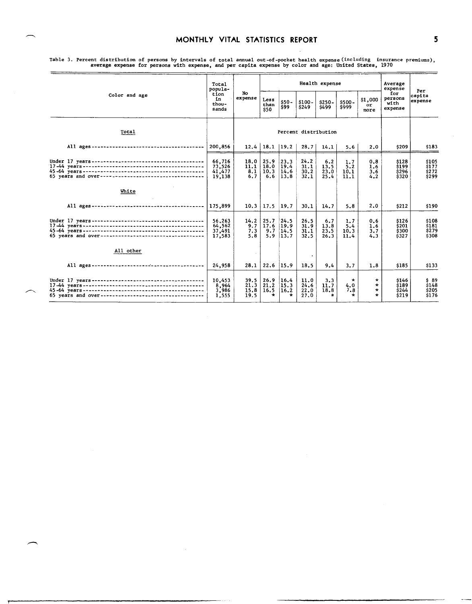|                                                      | Total<br>popula-<br>tion<br>ſn.<br>thou-<br>sands |                              |                                 |                                 |                              | Health expense                 |                                       |                                          | Average<br>expense                | Per<br><b>capita</b><br>expense             |
|------------------------------------------------------|---------------------------------------------------|------------------------------|---------------------------------|---------------------------------|------------------------------|--------------------------------|---------------------------------------|------------------------------------------|-----------------------------------|---------------------------------------------|
| Color and age                                        |                                                   | No<br>expense                | Less<br>than<br>\$50            | $$50 -$<br>\$99                 | $$100-$<br>\$249             | $$250 -$<br>\$499              | $$500 -$<br>\$999                     | \$1,000<br>or<br>more                    | for<br>persons<br>with<br>expense |                                             |
| Total                                                |                                                   | Percent distribution         |                                 |                                 |                              |                                |                                       |                                          |                                   |                                             |
|                                                      | 200,856                                           |                              | $12,4$   18.1   19.2            |                                 | 28.7                         | 14.1                           | 5.6                                   | 2.0                                      | \$209                             | \$183                                       |
|                                                      | 66,716<br>73,526<br>41, 477<br>19,138             | 18.0<br>11.1<br>8.1<br>6.7   | 25.9<br>18.0<br>10.3<br>6.6     | 123.3<br>19.4<br>14.6<br>13.8   | 24.2<br>31.1<br>30.2<br>32.1 | 6.2<br>13.5<br>23.0<br>25.4    | 1.7<br>5.2<br>10.1<br>11.1            | 0.8<br>1.6<br>3,6<br>4.2                 | \$128<br>\$199<br>\$296<br>\$320  | \$105<br>$\frac{1}{2177}$<br>\$272<br>\$299 |
| White                                                |                                                   |                              |                                 |                                 |                              |                                |                                       |                                          |                                   |                                             |
|                                                      | 175,899                                           | 10.3                         | 17.5                            | 19.7                            | 30.1                         | 14.7                           | 5.8                                   | 2.0                                      | \$212                             | \$190                                       |
| 65 years and over----------------------------------- | 56.263<br>64,562<br>37,491<br>17,583              | 14.2<br>9.7<br>7.3<br>5.8    | 25.7<br>17.6<br>9.7<br>5.9      | 24.5<br> 19.9<br>14.5<br>13.7   | 26.5<br>31.9<br>31.1<br>32.5 | 6.7<br>13.8<br>23.5<br>26.3    | 1.7<br>5.4<br>10.3<br>11.4            | 0.6<br>1.6<br>3.7<br>4.3                 | \$126<br>\$201<br>\$300<br>\$327  | \$108<br>\$181<br>\$279<br>\$308            |
| All other                                            |                                                   |                              |                                 |                                 | $\bullet$                    |                                |                                       |                                          |                                   |                                             |
|                                                      | 24,958                                            | 28.1                         | 22.6                            | 15.9                            | 18.5                         | 9.4                            | 3.7                                   | 1.8                                      | \$185                             | \$133                                       |
| 65 years and over----------------------------------- | 10,453<br>8.964<br>3,986<br>1,555                 | 39.5<br>21.3<br>15.8<br>19.5 | 26.9<br>21.2<br>16.5<br>$\star$ | 16.4<br>15.3<br>16.2<br>$\star$ | 11.0<br>24.6<br>22.0<br>27.0 | 3.3<br>11.7<br>18.8<br>$\star$ | $\mathbf{x}$<br>4.0<br>7.8<br>$\star$ | $\star$<br>$\star$<br>$\star$<br>$\star$ | \$146<br>\$189<br>\$244<br>\$219  | \$89<br>\$148<br>\$205<br>\$176             |

Table 3. Percent distribution of persons by intervals of total annual out-of-pocket health expense (including insurance premiums),<br>average expense for persons with expense, and per capita expense by color and age: United S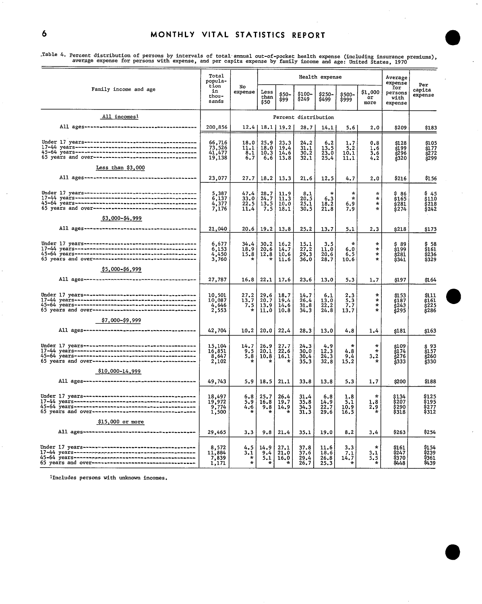Table 4. Percent distribution of persons by intervals of total annual out-of-pocket health expense (including insurance premiums),<br>average expense for persons with expense, and per capita expense by family income and age:

|                                                      | Total<br>popula-                          |                                 |                                    |                              |                                  | Health expense                  |                                   |                                          |                                              |                                        |  |
|------------------------------------------------------|-------------------------------------------|---------------------------------|------------------------------------|------------------------------|----------------------------------|---------------------------------|-----------------------------------|------------------------------------------|----------------------------------------------|----------------------------------------|--|
| Family income and age                                | tion<br>in<br>thou-<br>sands              | No<br>expense                   | Less<br>than<br>\$50               | \$50-<br>\$99                | \$100~<br>\$249                  | \$250-<br>\$499                 | \$500-<br>\$999                   | \$1,000<br>or<br>more                    | expense<br>for<br>persons<br>with<br>expense | Per<br>capita<br>expense               |  |
| All incomes1                                         |                                           |                                 |                                    |                              | Percent distribution             |                                 |                                   |                                          |                                              |                                        |  |
|                                                      | 200,856                                   | 12.4                            |                                    | $18.1$   19.2                | 28.7                             | 14.1                            | 5.6                               | 2.0                                      | \$209                                        | \$183                                  |  |
|                                                      | 66,716<br>73,526<br>41,477<br>19,138      | 18.0<br>11.1<br>8.1<br>6.7      | 25.9<br>18.0<br>10.3<br>6.6        | 23.3<br>19.4<br>14.6<br>13.8 | 24.2<br>31.1<br>30.2<br>32.1     | 6,2<br>13.5<br>23.0<br>25.4     | $\frac{1}{5}$ : 2<br>10.1<br>11.1 | 0.8<br>1.6<br>3.6<br>4.2                 | \$128<br>\$199<br>\$296<br><b>}320</b>       | \$105<br>$\frac{15}{272}$<br>\$299     |  |
| Less than \$3,000                                    |                                           |                                 |                                    |                              |                                  |                                 |                                   |                                          |                                              |                                        |  |
|                                                      | 23,077                                    | 27.7                            | 18, 2                              | 13.3                         | 21,6                             | 12.5                            | 4.7                               | 2.0                                      | \$216                                        | \$156                                  |  |
| \$3,000-\$4,999                                      | 5, 387<br>6, 137<br>4, 377<br>7,176       | 47.4<br>33.0<br>22.5<br>11.4    | $\frac{28.7}{24.7}$<br>13.5<br>7.5 | 11.9<br>11.3<br>10.0<br>18.1 | 8.1<br>20.5<br>25.1<br>30.5      | 6.3<br>18.2<br>21.8             | $\star$<br>$\star$<br>6.9<br>7.9  | $\Lambda$<br>$\star$<br>$\star$<br>÷     | \$ 86<br>\$165<br>\$281<br>\$274             | \$45<br>\$110<br>\$218<br>\$242        |  |
|                                                      | 21,040                                    | 20.6                            | 19.2                               | 13.8                         | 25.2                             | 13.7                            | 5.1                               | 2.3                                      | s218                                         | \$173                                  |  |
|                                                      | 6,677<br>$6,153$<br>4,450<br>3,760        | 34.4<br>18.9<br>15.8<br>÷       | 30.2<br>20.6<br>12.8<br>$\ast$     | 16.2<br>14.7<br>10.6<br>11.6 | 15.1<br>27.2<br>29.3<br>36.0     | 3.5<br>11.0<br>20.6<br>28.7     | ÷<br>6.0<br>6.5<br>10.6           | $\star$<br>$\star$<br>$\star$<br>$\star$ | \$ 89<br>\$199<br>\$281<br>$\frac{1}{3}341$  | \$161<br>\$236<br>\$329                |  |
| \$5,000-\$6,999                                      |                                           |                                 |                                    |                              |                                  |                                 |                                   |                                          |                                              |                                        |  |
|                                                      | 27,787                                    | 16.8                            | 22.1                               | 17.6                         | 23.6                             | 13.0                            | 5.3                               | 1.7                                      | \$197                                        | \$164                                  |  |
|                                                      | 10,501<br>10,087<br>$\frac{4,646}{2,553}$ | 27.2<br>13.7<br>7.5<br>$\star$  | $29.6$<br>$20.7$<br>13.9<br>11.0   | 18.7<br>19.4<br>14.6<br>10.8 | 14.7<br>26.4<br>31.8<br>34.3     | 6.1<br>13.0<br>22.2<br>24.8     | $2.3$<br>$5.3$<br>7.7<br>13.7     | 头<br>$\star$<br>$\star$<br>$\star$       | \$153<br>ś187<br><b>\$243</b><br>š295        | \$111<br>\$161<br><b>s225</b><br>\$286 |  |
| \$7,000-\$9,999                                      |                                           |                                 |                                    |                              |                                  |                                 |                                   |                                          |                                              |                                        |  |
|                                                      | 42,704                                    | 10.2                            | 20.0                               | 22.4                         | 28.3                             | 13.0                            | 4.8                               | 1.4                                      | \$181                                        | \$163                                  |  |
|                                                      | 15,104<br>16,851<br>8,647<br>2,102        | 14.7<br>$\frac{9.5}{5.8}$       | $26.9$<br>$20.1$<br>10.8           | $^{27.7}_{22.6}$<br>16.1     | $24 - 3$<br>30.0<br>30.4<br>35.3 | $4.9$<br>$12.3$<br>24.3<br>32.8 | $\star$<br>4.8<br>9.4<br>15.2     | $\star$<br>÷<br>3,2                      | s109<br>šī 74<br>\$276<br>5333               | s 93<br>\$157<br>\$260<br><b>\$330</b> |  |
| \$10,000-14,999                                      |                                           |                                 |                                    |                              |                                  |                                 |                                   |                                          |                                              |                                        |  |
|                                                      | 49,743                                    | 5.9                             | 18.5                               | 21.1                         | 33.8                             | 13.8                            | 5.3                               | 1.7                                      | \$200                                        | \$188                                  |  |
|                                                      | 18,497<br>19,972<br>9,774<br>1,500        | 6.8<br>5.9<br>4.6<br>÷          | 25.7<br>16.8<br>9.8<br>$\star$     | 26.4<br>19.7<br>14.9         | 31.4<br>35.8<br>34.3<br>31.3     | 6.8<br>14.9<br>22.7<br>29.6     | 1.8<br>5.1<br>10.9<br>16.5        | 1.8<br>2.9                               | \$134<br>\$207<br>\$290<br>\$318             | \$125<br>\$195<br>\$277<br>\$312       |  |
| \$15,000 or more                                     |                                           |                                 |                                    |                              |                                  |                                 |                                   |                                          |                                              |                                        |  |
|                                                      | 29,465                                    | 3.3                             | 9.8                                | 21.4                         | 35.1                             | 19.0                            | 8.2                               | 3.4                                      | \$263                                        | \$254                                  |  |
| 65 years and over----------------------------------- | 8,572<br>11,884<br>7,839<br>1,171         | 4.5<br>3.1<br>$\ast$<br>$\star$ | 14.9<br>9.4<br>5.1<br>÷            | 27.1<br>21,0<br>16.0<br>÷    | 37.8<br>37.6<br>29.4<br>26.7     | 11.6<br>18.6<br>26.8<br>25.3    | 3.3<br>7.1<br>14.7                | $\star$<br>3.1<br>5.5                    | <b>\$161</b><br>S247<br>\$370<br>\$448       | \$154<br>\$239<br>\$361<br>\$439       |  |

1Includes persons with unknown incomes.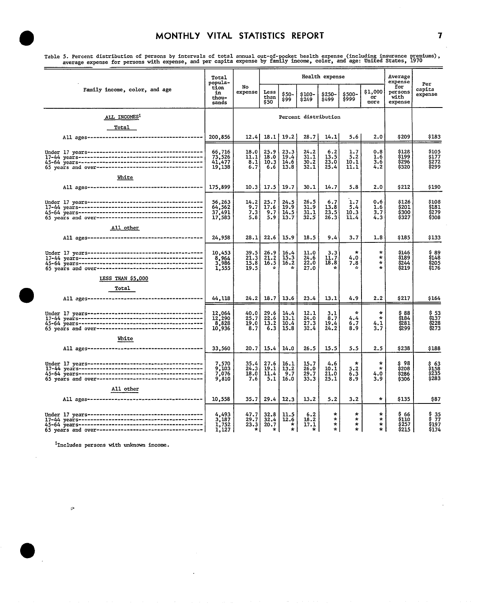rable 5. Percent distribution of persons by intervals of total annual out-of-pocket health expense (including insurance premiums),<br>average expense for persons with expense, and per capita expense by family income, color, a

|                               | Total<br>popula-                     |                                   |                                    |                                                        |                                     | Health expense                          |                              |                                          | Average<br>expense                     | Per<br>capita<br>expense            |  |
|-------------------------------|--------------------------------------|-----------------------------------|------------------------------------|--------------------------------------------------------|-------------------------------------|-----------------------------------------|------------------------------|------------------------------------------|----------------------------------------|-------------------------------------|--|
| Family income, color, and age | tion<br>in<br>thou-<br>sands         | No<br>expense                     | Less<br>than<br>\$50               | \$50-<br>\$99                                          | \$100-<br>\$249                     | $$250-$<br>\$499                        | \$500-<br>\$999              | \$1,000<br>or<br>more                    | for<br>persons<br>with<br>expense      |                                     |  |
| ALL INCOMES1                  |                                      |                                   | Percent distribution               |                                                        |                                     |                                         |                              |                                          |                                        |                                     |  |
| Total                         |                                      |                                   |                                    |                                                        |                                     |                                         |                              |                                          |                                        |                                     |  |
|                               | 200,856                              | 12.41                             | 18.1                               | 19.2                                                   | 28.7                                | 14.1                                    | 5.6                          | 2.0                                      | \$209                                  | \$183                               |  |
|                               | 66,716<br>73,526<br>41,477<br>19,138 | 18.0<br>11.1<br>8.1<br>6.7        | 25.9<br>18.0<br>10.3<br>6.6        | $23.3$<br>$19.4$<br>$14.6$<br>13.8                     | 24.2<br>31.1<br>$\frac{30.7}{32.1}$ | 6.2<br>13.5<br>23.0<br>25.4             | 1.7<br>5.2<br>10.1<br>11.1   | 0.8<br>1.6<br>3.6<br>4.2                 | \$128<br>\$199<br>\$296<br>\$320       | \$105<br>\$177<br>\$272<br>\$299    |  |
| White                         | 175,899                              | 10.3                              | 17.5                               | 19.7                                                   | 30.1                                | 14.7                                    | 5.8                          | 2.0                                      | \$212                                  | \$190                               |  |
|                               | 56,263<br>64,562<br>37,491<br>17,583 | 14.2<br>9.7<br>7.3<br>5.8         | 25.7<br>17.6<br>9.7<br>5.9         | 24.5<br>19.9<br>14.5<br>13.7                           | 26.5<br>31.9<br>31.1<br>32.5        | 6.7<br>13.8<br>23.5<br>26.3             | 1.7<br>5.4<br>10.3<br>11.4   | 0.6<br>1.6<br>3.7<br>4.3                 | \$126<br>\$201<br>\$300<br>\$327       | \$108<br>\$181<br>\$279<br>\$308    |  |
| All other                     |                                      |                                   |                                    |                                                        |                                     |                                         |                              |                                          |                                        |                                     |  |
|                               | 24,958                               | 28.1                              | 22.6                               | 15.9                                                   | 18.5                                | 9.4                                     | 3.7                          | 1.8                                      | \$185                                  | \$133                               |  |
|                               | 10,453<br>8,964<br>1,555             | 39.5<br>21.3<br>15.8<br>19.5      | 26.9<br>21.2<br>16.5<br>÷          | $\frac{16.4}{15.3}$<br>16.2<br>÷                       | 11.0<br>24.6<br>22.0<br>27.0        | 3.3<br>11.7<br>18.8<br>$\star$          | $\star$<br>4.0<br>7.8<br>÷   | $\star$<br>$\star$<br>$\star$<br>$\star$ | \$146<br>\$189<br>\$244<br>\$219       | \$ 89<br>\$148<br>\$205<br>\$176    |  |
| LESS THAN \$5,000             |                                      |                                   |                                    |                                                        |                                     |                                         |                              |                                          |                                        |                                     |  |
| Total                         |                                      |                                   |                                    |                                                        |                                     |                                         |                              |                                          |                                        |                                     |  |
|                               | 44,118                               | 24.2                              | 18.7                               | 13.6                                                   | 23.4                                | 13.1                                    | 4.9                          | 2.2                                      | \$217                                  | \$164                               |  |
|                               | 12,064<br>12,290<br>8,828<br>10,936  | 40.0<br>25.7<br>19.0<br>8.7       | 29.6<br>$\frac{22.6}{13.2}$<br>6.3 | 14.4<br>$\overline{13.1}$<br>$\overline{10.4}$<br>15.8 | 12.1<br>$\frac{24.0}{27.3}$<br>32.4 | 3.1<br>8.7<br>19.4<br>24.2              | ÷<br>4.4<br>6.7<br>8.9       | $\star$<br>$\star$<br>4.1<br>3.7         | \$ 88<br>\$184<br>\$281<br>5299        | \$ 53<br>\$137<br>\$228<br>\$273    |  |
| White                         |                                      |                                   |                                    |                                                        |                                     |                                         |                              |                                          |                                        |                                     |  |
|                               | 33,560                               | 20.7                              | 15.4                               | 14.0                                                   | 26.5                                | 15.5                                    | 5.5                          | 2.5                                      | \$238                                  | \$188                               |  |
|                               | 7,570<br>9,103<br>7,076<br>9,810     | 35.4<br>24.3<br>18.0<br>7.6       | 27.6<br>19.1<br>11.4<br>5.1        | 16.1<br>13.2<br>9.7<br>16.0                            | 15.7<br>26.0<br>29.7<br>33.3        | 4.6<br>10.1<br>21.0<br>25.1             | $\star$<br>5.2<br>6.3<br>8.9 | $\ast$<br>$\star$<br>4.0<br>3.9          | S 98<br>\$208<br>\$286<br>\$306        | $$158$<br>$$158$<br>$$235$<br>\$283 |  |
| All other                     | 10,558                               | 35.7                              | 29.4                               | 12.3                                                   | 13.2                                | 5.2                                     | 3.2                          | $\star$                                  | \$135                                  | \$87                                |  |
|                               |                                      |                                   |                                    |                                                        |                                     |                                         |                              |                                          |                                        |                                     |  |
|                               | 4,493<br>3,187<br>1,752<br>1,127     | 47.7<br>29.7<br>23.3<br>$\star$ 1 | 32.8<br>32.4<br>20.7<br>*          | 11.5<br>$\frac{12.6}{*}$<br>*                          | 6.2<br>$\frac{18.2}{17.1}$<br>* l   | $\star$<br>$\star$<br>$\ast$<br>$\star$ | ÷<br>$\star$<br>$\star$<br>÷ | $\star$<br>$\star$<br>$\star$<br>$\star$ | \$ 66<br>\$110<br><b>S257</b><br>\$215 | \$35<br>\$77<br>\$197<br>\$174      |  |

<sup>1</sup>Includes persons with unknown income.

 $\cdot$ 

 $\ddot{\phantom{a}}$ 

 $\mathcal{P}$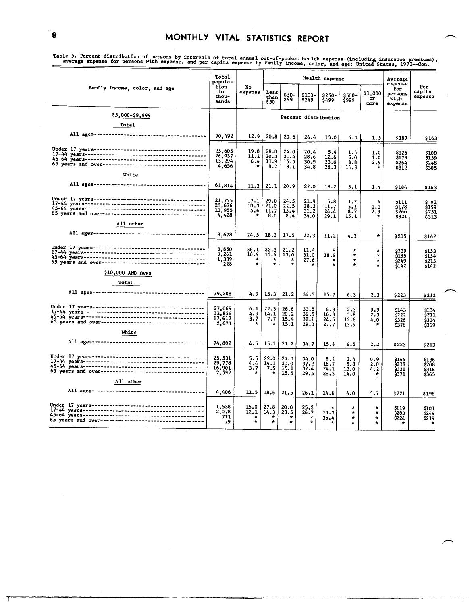able 5. Fertient useful transformation of persons by intervals of total annual out-of-pocket health expense (including insurance premiums),<br>average expense for persons with expense, and per capita expense by family income,

|                                                     | Total<br>popula-                    |                                    |                                    |                                    | Health expense                     |                                 | Average<br>expense                       |                                          |                                         |                                               |
|-----------------------------------------------------|-------------------------------------|------------------------------------|------------------------------------|------------------------------------|------------------------------------|---------------------------------|------------------------------------------|------------------------------------------|-----------------------------------------|-----------------------------------------------|
| Family income, color, and age                       | tion<br>in.<br>thou-<br>sands       | No<br>expense                      | Less<br>than<br>\$50               | \$50-<br>\$99                      | \$100-<br>\$249                    | \$250-<br>\$499                 | \$500-<br>\$999                          | \$1,000<br>or<br>pore                    | for<br>persons<br>with<br>expense       | Per<br>capita<br>expense                      |
| <u>§5,00</u> 0-\$9,999                              |                                     |                                    |                                    |                                    |                                    | Percent distribution            |                                          |                                          |                                         |                                               |
| <b>Total</b>                                        |                                     |                                    |                                    |                                    |                                    |                                 |                                          |                                          |                                         |                                               |
|                                                     | 70,492                              | 12.9 <sub>1</sub>                  | $20.8$                             | 20.5                               | 26.4                               | 13.0                            | 5.0                                      | 1.5                                      | \$187                                   | \$163                                         |
|                                                     | 25,605<br>26,937<br>13,294<br>4,656 | 19.8<br>11.1<br>6.4<br>$\star$     | 28.0<br>20.3<br>11.9<br>8.2        | 24.0<br>21.4<br>15.5<br>9.1        | 20.4<br>28.6<br>30.9<br>34.8       | 5.4<br>12.6<br>23.6<br>28.3     | 1.4<br>5.0<br>8.8<br>14.3                | 1.0<br>1.0<br>2.9<br>$\star$             | \$125<br>\$179<br>\$264<br>\$312        | \$100<br>\$159<br>\$248<br>\$305              |
| White                                               |                                     |                                    |                                    |                                    |                                    |                                 |                                          |                                          |                                         |                                               |
|                                                     | 61,814                              | 11.3                               | 21.1                               | 20.9                               | 27.0                               | 13.2                            | 5.1                                      | 1.4                                      | \$184                                   | \$163                                         |
|                                                     | 21,755<br>23,676<br>11,955<br>4,428 | 17.1<br>10.3<br>5.6<br>÷           | 29.0<br>21.0<br>11.7<br>8,0        | 24.5<br>22.5<br>15.4<br>8.4        | 21.9<br>28.3<br>31.2<br>34.0       | 5.8<br>11.7<br>24.4<br>29.1     | 1.2<br>5.1<br>8.7<br>15.1                | ÷<br>1,1<br>2.9<br>$\star$               | $\frac{$111}{$178}$<br>\$266<br>\$321   | \$ 92<br>\$159<br><b>s251</b><br><b>\$313</b> |
| All other                                           |                                     |                                    |                                    |                                    |                                    |                                 |                                          |                                          |                                         |                                               |
|                                                     | 8,678                               | 24.5                               | 18.3                               | 17.5                               | 22.3                               | 11.2                            | 4.3                                      | $\star$                                  | \$215                                   | \$162                                         |
|                                                     | 3,850<br>3,261<br>1,339<br>228      | 36.l<br>16.9<br>$\star$<br>$\star$ | 22.3<br>15.6<br>$\star$<br>$\star$ | 21.2<br>13.0<br>$\star$<br>$\star$ | 11.4<br>31.0<br>27.6               | $\star$<br>18.9<br>÷<br>$\star$ | $\star$<br>$\star$<br>$\star$<br>$\star$ | ÷<br>$\star$<br>$\pm$<br>$\star$         | \$239<br>\$185<br>\$249<br>\$142        | \$153<br><b>\$154</b><br>\$215<br>\$142       |
| \$10,000 AND OVER                                   |                                     |                                    |                                    |                                    |                                    |                                 |                                          |                                          |                                         |                                               |
| Total                                               |                                     |                                    |                                    |                                    |                                    |                                 |                                          |                                          |                                         |                                               |
|                                                     | 79,208                              | 4.9                                | 15.3                               | 21.2                               | 34.3                               | 15.7                            | 6.3                                      | 2.3                                      | \$223                                   | \$212                                         |
|                                                     | 27,069<br>31,856<br>17,612<br>2,671 | 6.1<br>4.9<br>3.7<br>÷             | 22.3<br>14.1<br>7.7<br>$\star$     | 26.6<br>20.2<br>15.4<br>15,1       | 33.5<br>36.5<br>32.1<br>29.3       | 8.3<br>16.3<br>24.5<br>27.7     | 2.3<br>5.8<br>12.6<br>13.9               | 0.9<br>2.3<br>4.0                        | \$143<br>\$222<br>\$326<br>\$376        | \$134<br><b>\$211</b><br>\$314<br>S369        |
| White                                               |                                     |                                    |                                    |                                    |                                    |                                 |                                          |                                          |                                         |                                               |
|                                                     | 74,802                              | 4.5 I                              | 15,1                               | 21.2                               | 34.7                               | 15.8                            | 6.5                                      | 2.2                                      | \$223                                   | \$213                                         |
|                                                     | 25,531<br>29,778<br>16,901<br>2,592 | 5.5<br>4.4<br>3,7<br>$\star$       | 22.0<br>14.1<br>7.5                | 27.0<br>20.0<br>15.1<br>15.5       | 34.0<br>37.2<br>32.4<br>29.5       | 8,2<br>16.7<br>24.1<br>28.3     | 2.4<br>5.8<br>13.0<br>14.0               | 0.9<br>2.0<br>4.2                        | \$144<br>\$218<br><b>\$331</b><br>\$371 | \$136<br>\$208<br>\$318<br>\$365              |
| All other                                           |                                     |                                    |                                    |                                    |                                    |                                 |                                          |                                          |                                         |                                               |
|                                                     | 4,406                               | 11.5                               | 18.6                               | 21.5                               | 26.1                               | 14.6                            | 4.0                                      | 3.7                                      | \$221                                   | \$196                                         |
| 65 years and over---------------------------------- | 1,538<br>2,078<br>711<br>79         | 15.0<br>12.1<br>$\star$<br>$\star$ | 27.8<br>14.3<br>$\star$            | 20.0<br>23.5<br>*<br>$\star$       | 25.2<br>26.7<br>$\star$<br>$\star$ | 10.3<br>35.4                    | $\star$<br>$\star$<br>$\star$<br>÷       | $\star$<br>$\star$<br>$\star$<br>$\star$ | \$119<br>\$283<br>\$224<br>×            | <b>\$101</b><br>\$249<br>S2 19                |

**1**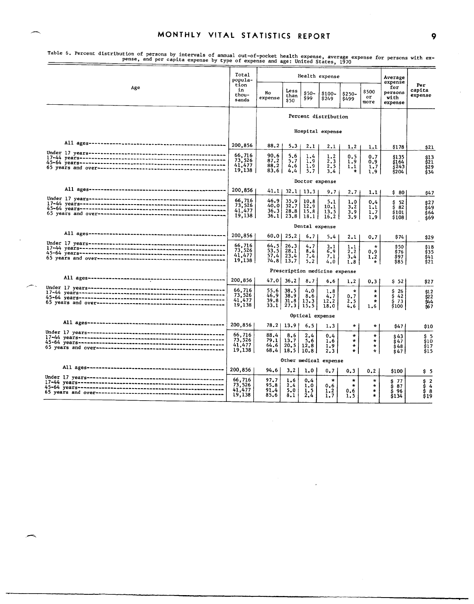|     | Total<br>popula-                     |                              |                                              |                          | Health expense                |                                              |                                          | Average<br>expense                                      |                                      |
|-----|--------------------------------------|------------------------------|----------------------------------------------|--------------------------|-------------------------------|----------------------------------------------|------------------------------------------|---------------------------------------------------------|--------------------------------------|
| Age | tion<br>in<br>thou-<br>sands         | No<br>expense                | Less<br>than<br>\$50                         | $$50-$<br>\$99           | \$100-<br>\$249               | $$250-$<br>\$499                             | \$500<br>or<br>more                      | for<br>persons<br>with<br>expense                       | Per<br>capita<br>expense             |
|     |                                      |                              |                                              |                          | Percent distribution          |                                              |                                          |                                                         |                                      |
|     |                                      |                              |                                              |                          | Hospital expense              |                                              |                                          |                                                         |                                      |
|     | 200,856                              | $88.2$                       | $5.3 \;$                                     | 2,1                      | 2.1                           | 1.2                                          | 1.1                                      | \$178                                                   | \$21                                 |
|     | 66,716<br>73,526<br>41,477<br>19,138 | 90.6<br>87.2<br>88.2<br>83.6 | 5,6<br>5.7<br>4,6<br>4.4                     | 1.4<br>1.9<br>1.9<br>5.7 | 1.2<br>2.3<br>2.5<br>3,4      | 0.5<br>1.9<br>1,1<br>*                       | 0.7<br>0.9<br>1.7<br>1.9                 | \$135<br>\$164<br>š243<br>\$204                         | \$13<br>\$21<br>\$29<br>\$34         |
|     |                                      | Doctor expense               |                                              |                          |                               |                                              |                                          |                                                         |                                      |
|     | 200,856                              | 41.11                        | $32.1 \mid 13.3$                             |                          | 9.7                           | 2.7                                          | 1.1                                      | \$80                                                    | \$47                                 |
|     | 66,716<br>73,526<br>41,477<br>19,138 | 46.9<br>40.0<br>36.3         | 35.9<br>32.7<br>28,8<br>$36.1$   23.8   18.1 | 10.8<br>12.9<br>15.8     | 5.1<br>10.1<br>13.5<br>16.2   | 1.0<br>3.2<br>3.9<br>3.9                     | 0.4<br>1.1<br>1.7<br>1.9                 | \$52<br>$\frac{1}{3}$ $\overline{82}$<br>\$101<br>\$108 | s27<br>s49<br>ś 64<br>\$69           |
|     | Dental expense                       |                              |                                              |                          |                               |                                              |                                          |                                                         |                                      |
|     | 200,856                              |                              | $60.0$   25.2                                | 6.7                      | 5.4                           | 2.1                                          | 0.7                                      | S 74                                                    | \$29                                 |
|     | 66,716<br>73,526<br>41,477<br>19,138 | 64.5<br>53.5<br>57.4         | 26.3<br>28.1<br>23.4<br>$74.8$   13.7        | 4.7<br>8,4<br>7.4<br>5.2 | 3.1<br>6.9<br>7.1<br>4.0      | 1.1<br>2,2<br>3,4<br>1.8                     | $\star$<br>0, 9<br>1.2<br>$\star$        | \$50<br>\$76<br>\$97<br>\$85                            | \$18<br>\$35<br>\$41<br>Ś21          |
|     |                                      |                              |                                              |                          | Prescription medicine expense |                                              |                                          |                                                         |                                      |
|     | 200,856                              | 47.01                        | 36, 2                                        | 8.7                      | 6.6                           | 1.2                                          | 0.3                                      | \$ 52                                                   | \$27                                 |
|     | 66,716<br>73,526<br>41,477<br>19,138 | 55.6<br>46.9<br>39.8<br>33.1 | 38.5<br>38.9<br>31.8<br>$27.3$ 15.5          | 4.0<br>8.6<br>13.3       | 1.8<br>4.7<br>12,2<br>18.0    | $\star$<br>0,7<br>2.5<br>4.6                 | $\star$<br>$\star$<br>$\star$<br>1.6     | \$<br>-26<br>\$42<br>\$73<br>\$100                      | $\frac{$12}{$22}$<br>944<br>967      |
|     |                                      |                              |                                              | Optical expense          |                               |                                              |                                          |                                                         |                                      |
|     | 200,856                              |                              | $78.2$   13.9                                | 6.5                      | 1.3                           | $\star$                                      | $\star$                                  | \$47                                                    | \$10                                 |
|     | 66,716<br>73,526<br>41,477<br>19,138 | 88.4<br>79.1<br>64.6         | 8.6<br>13.7<br>20.5<br>68.4   18.5   10.8    | 2.4<br>5.6<br>12,8       | 0.4<br>1.6<br>1.9<br>2.3      | $\star$<br>$\ast$<br>$\star$<br>$\mathbf{r}$ | $\star$<br>$\star$<br>$\star$<br>$\star$ | \$43<br>$\frac{647}{\$48}$<br>s 47                      | \$5<br>\$10<br>\$17<br>\$15          |
|     | Other medical expense                |                              |                                              |                          |                               |                                              |                                          |                                                         |                                      |
|     | 200,856                              | 94.6                         | 3.2                                          | 1.0                      | 0,7                           | 0.3                                          | 0.2                                      | \$100                                                   | \$5                                  |
|     | 66,716<br>73,526<br>41,477           | 97.7<br>95.8<br>91.4         | 1.6<br>2.4<br>5.0                            | 0.4<br>1.0<br>1.5        | $\star$<br>0.6<br>1.2         | $\star$<br>$\mathcal{H}$<br>0.6              | $\star$<br>$\star$<br>$\star$            | $$77$<br>$$87$<br>$$96$<br>$$134$                       | $\overline{2}$<br>\$<br>\$<br>4<br>8 |

∽

persons by Intervals of annual out-of-pocket health expense, average expense for persons with ex-<br>pense, and per capita expense by type of expense and age: United States, 1970

 $\bar{L}$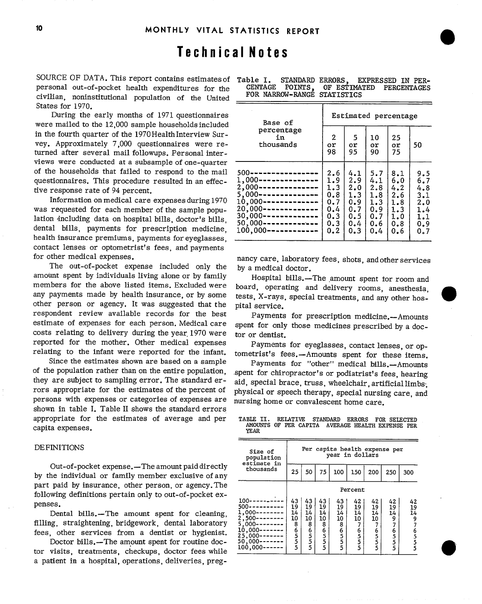# Technical Notes

SOURCE OF DATA. This report contains estimates of personal out-of-pocket health expenditures for the civilian, noninstitutional population of the United States for 1970.

During the early months of 1971 questionnaires were mailed to the 12,000 sample households included in the fourth quarter of the 1970 Health Interview Survey. Approximately 7,000 questionnaires were returned after several mail followups. Personal interviews were conducted at a subsample of one-quarter of the households that failed to respond to the mail questionnaires. This procedure resulted in an effective response rate of 94 percent.

Information on medical care expenses during 1970 was requested for each member of the sample population including data on hospital bills, doctor's bills. dental bills, payments for prescription medicine. health insurance premiums, payments for eyeglasses, contact lenses or optometrist's fees, and payments for other medical expenses.

The out-of-pocket expense included only the amount spent by individuals living alone or by family members for the above listed items, Excluded were any payments made by health insurance, or by some other person or agency. It was suggested that the respondent review available records for the best estimate of expenses for each person. Medical care costs relating to delivery during the year 1970 were reported for the mother. Other medical expenses relating to the infant were reported for the infant.

Since the estimates shown are based on a sample of the population rather than on the entire population. they are subject to sampling error. The standard errors appropriate for the estimates of the percent of persons with expenses or categories of expenses are shown in table I. Table II shows the standard errors appropriate for the estimates of average and per capita expenses.

#### **DEFINITIONS**

Out-of-pocket expense.—The amount paid directly by the individual or family member exclusive of any part paid by insurance, other person, or agency. The following definitions pertain only to out-of-pocket expenses.

Dental bills.-The amount spent for cleaning, filling, straightening, bridgework, dental laboratory fees, other services from a dentist or hygienist.

Doctor bills.—The amount spent for routine doctor visits, treatments, checkups, doctor fees while a patient in a hospital operations, deliveries, preg-

| Table I. STANDARD ERRORS. EXPRESSED IN PER- |  |  |  |  |
|---------------------------------------------|--|--|--|--|
| CENTAGE POINTS, OF ESTIMATED PERCENTAGES    |  |  |  |  |
| FOR NARROW-RANGE STATISTICS                 |  |  |  |  |

| Base of                            | Estimated percentage |     |     |     |     |  |  |  |  |  |
|------------------------------------|----------------------|-----|-----|-----|-----|--|--|--|--|--|
| percentage                         | 2                    | -5  | 10  | 25  | 50  |  |  |  |  |  |
| in                                 | or                   | or  | or  | or  |     |  |  |  |  |  |
| thousands                          | 98                   | 95  | 90  | 75  |     |  |  |  |  |  |
| 500-----------------               | 2.6                  | 4.1 | 5.7 | 8.1 | 9.5 |  |  |  |  |  |
| $1,000$ ---------------            | 1.9                  | 2.9 | 4.1 | 6.0 | 6.7 |  |  |  |  |  |
| 2,000---------------               | 1.3                  | 2.0 | 2.8 | 4.2 | 4.8 |  |  |  |  |  |
| $5,000$ ---------------            | 0.8                  | 1.3 | 1.8 | 2.6 | 3.1 |  |  |  |  |  |
| $10,000$ -------------             | 0.7                  | 0.9 | 1.3 | 1.8 | 2.0 |  |  |  |  |  |
| $20,000$ -------------             | 0.4                  | 0.7 | 0.9 | 1.3 | 1.4 |  |  |  |  |  |
| $30,000$ - - - - - - - - - - - - - | 0.3                  | 0.5 | 0.7 | 1.0 | 1.1 |  |  |  |  |  |
| $50,000$ --------------            | 0.3                  | 0.4 | 0.6 | 0.8 | 0.9 |  |  |  |  |  |
| $100,000$ ------------             | 0.2                  | 0.3 | 0.4 | 0.6 | 0.7 |  |  |  |  |  |

nancy care, laboratory fees, shots, and other services by a medical doctor.

Hospital bills.-The amount spent tor room and board, operating and delivery rooms, anesthesia. tests, X-rays, special treatments, and any other hospital service.

Payments for prescription medicine.--Amounts spent for only those medicines prescribed by a doctor or dentist.

Payments for eyeglasses, contact lenses, or optometrist's fees.--Amounts spent for these items.

Payments for "other" medical bills.--Amounts spent for chiropractor's or podiatrist's fees, hearing aid, special brace, truss, wheelchair, artificial limbs; physical or speech therapy, special nursing care, and nursing home or convalescent home care.

| TABLE II. RELATIVE STANDARD ERRORS FOR SELECTED |  |                                                  |  |  |
|-------------------------------------------------|--|--------------------------------------------------|--|--|
| YEAR                                            |  | AMOUNTS OF PER CAPITA AVERAGE HEALTH EXPENSE PER |  |  |

| Size of<br>population<br>estimate in                                                                                                   |                               | Per capita health expense per<br>vear in dollars |                               |                               |                                           |                                      |                                              |                                     |  |  |  |  |
|----------------------------------------------------------------------------------------------------------------------------------------|-------------------------------|--------------------------------------------------|-------------------------------|-------------------------------|-------------------------------------------|--------------------------------------|----------------------------------------------|-------------------------------------|--|--|--|--|
| thousands                                                                                                                              | 25                            | 50                                               | 75                            | 100                           | 150                                       | 200                                  | 250                                          | 300                                 |  |  |  |  |
|                                                                                                                                        |                               | Percent                                          |                               |                               |                                           |                                      |                                              |                                     |  |  |  |  |
| $100 -$<br>$500--$<br>$1,000$ ------<br>$2,500---$<br>$5,000--$<br>$10,000---$<br>$25,000$ - - - - - - -<br>$50,000--$<br>$100,000---$ | 43<br>19<br>14<br>10<br>86555 | 43<br>19<br>14<br>10<br>86555                    | 43<br>19<br>14<br>10<br>86555 | 43<br>19<br>14<br>10<br>86555 | 42<br>19<br>14<br>10<br>7<br>65<br>5<br>5 | 42<br>19<br>14<br>10<br>65<br>5<br>5 | 42<br>19<br>14<br>9<br>7<br>6<br>5<br>5<br>5 | 42<br>19<br>14<br>9<br>65<br>5<br>5 |  |  |  |  |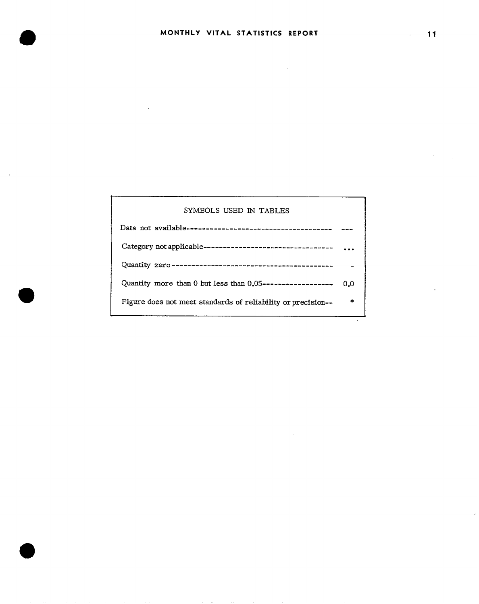$\label{eq:2.1} \mathcal{L}(\mathcal{L}^{\text{max}}_{\mathcal{L}}(\mathcal{L}^{\text{max}}_{\mathcal{L}}),\mathcal{L}^{\text{max}}_{\mathcal{L}}(\mathcal{L}^{\text{max}}_{\mathcal{L}}))$ 

| SYMBOLS USED IN TABLES                                       |     |
|--------------------------------------------------------------|-----|
|                                                              |     |
|                                                              |     |
|                                                              |     |
| Quantity more than 0 but less than $0.05$ ------------------ | 0.0 |
| Figure does not meet standards of reliability or precision-- | ź.  |

 $\sim$ 

 $\mathcal{O}(\mathcal{E}^{\text{max}})$ 

l,